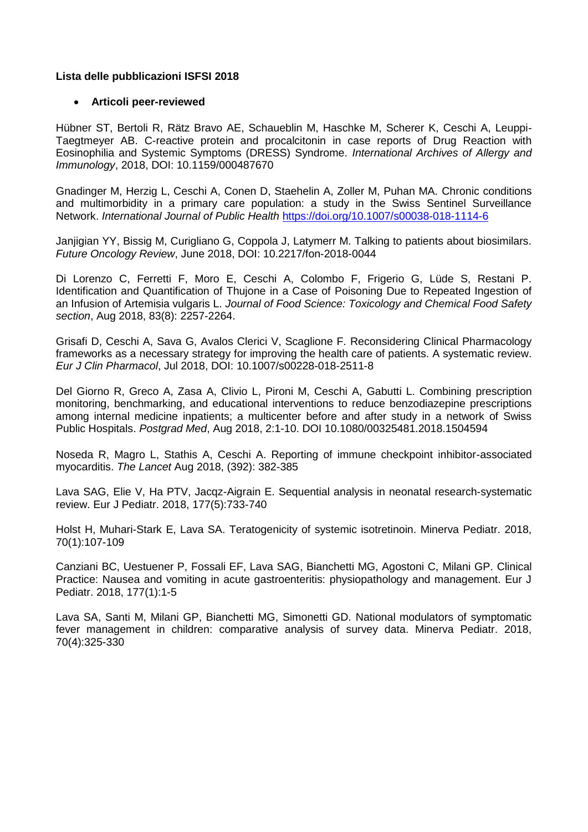## **Lista delle pubblicazioni ISFSI 2018**

## **Articoli peer-reviewed**

Hübner ST, Bertoli R, Rätz Bravo AE, Schaueblin M, Haschke M, Scherer K, Ceschi A, Leuppi-Taegtmeyer AB. C-reactive protein and procalcitonin in case reports of Drug Reaction with Eosinophilia and Systemic Symptoms (DRESS) Syndrome. *International Archives of Allergy and Immunology*, 2018, DOI: 10.1159/000487670

Gnadinger M, Herzig L, Ceschi A, Conen D, Staehelin A, Zoller M, Puhan MA. Chronic conditions and multimorbidity in a primary care population: a study in the Swiss Sentinel Surveillance Network. *International Journal of Public Health* <https://doi.org/10.1007/s00038-018-1114-6>

Janjigian YY, Bissig M, Curigliano G, Coppola J, Latymerr M. Talking to patients about biosimilars. *Future Oncology Review*, June 2018, DOI: 10.2217/fon-2018-0044

Di Lorenzo C, Ferretti F, Moro E, Ceschi A, Colombo F, Frigerio G, Lüde S, Restani P. Identification and Quantification of Thujone in a Case of Poisoning Due to Repeated Ingestion of an Infusion of Artemisia vulgaris L. *Journal of Food Science: Toxicology and Chemical Food Safety section*, Aug 2018, 83(8): 2257-2264.

Grisafi D, Ceschi A, Sava G, Avalos Clerici V, Scaglione F. Reconsidering Clinical Pharmacology frameworks as a necessary strategy for improving the health care of patients. A systematic review. *Eur J Clin Pharmacol*, Jul 2018, DOI: 10.1007/s00228-018-2511-8

Del Giorno R, Greco A, Zasa A, Clivio L, Pironi M, Ceschi A, Gabutti L. Combining prescription monitoring, benchmarking, and educational interventions to reduce benzodiazepine prescriptions among internal medicine inpatients; a multicenter before and after study in a network of Swiss Public Hospitals. *Postgrad Med*, Aug 2018, 2:1-10. DOI 10.1080/00325481.2018.1504594

Noseda R, Magro L, Stathis A, Ceschi A. Reporting of immune checkpoint inhibitor-associated myocarditis. *The Lancet* Aug 2018, (392): 382-385

Lava SAG, Elie V, Ha PTV, Jacqz-Aigrain E. Sequential analysis in neonatal research-systematic review. Eur J Pediatr. 2018, 177(5):733-740

Holst H, Muhari-Stark E, Lava SA. Teratogenicity of systemic isotretinoin. Minerva Pediatr. 2018, 70(1):107-109

Canziani BC, Uestuener P, Fossali EF, Lava SAG, Bianchetti MG, Agostoni C, Milani GP. Clinical Practice: Nausea and vomiting in acute gastroenteritis: physiopathology and management. Eur J Pediatr. 2018, 177(1):1-5

Lava SA, Santi M, Milani GP, Bianchetti MG, Simonetti GD. National modulators of symptomatic fever management in children: comparative analysis of survey data. Minerva Pediatr. 2018, 70(4):325-330